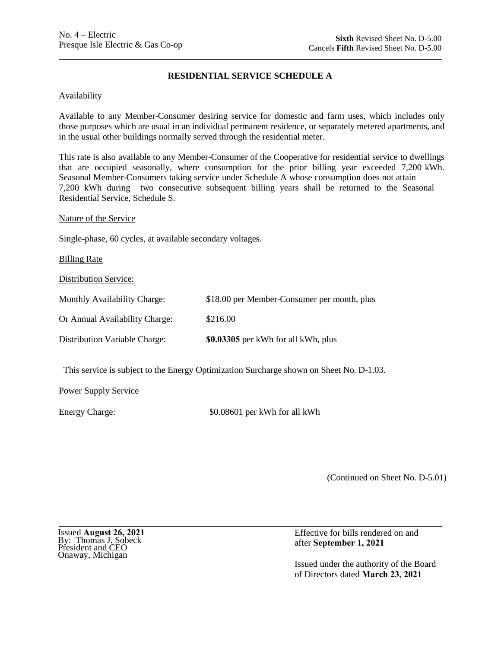# **RESIDENTIAL SERVICE SCHEDULE A**

### **Availability**

Available to any Member-Consumer desiring service for domestic and farm uses, which includes only those purposes which are usual in an individual permanent residence, or separately metered apartments, and in the usual other buildings normally served through the residential meter.

This rate is also available to any Member-Consumer of the Cooperative for residential service to dwellings that are occupied seasonally, where consumption for the prior billing year exceeded 7,200 kWh. Seasonal Member-Consumers taking service under Schedule A whose consumption does not attain 7,200 kWh during two consecutive subsequent billing years shall be returned to the Seasonal Residential Service, Schedule S.

Nature of the Service

Single-phase, 60 cycles, at available secondary voltages.

**Billing Rate** 

Distribution Service:

| Distribution Variable Charge:  | \$0.03305 per kWh for all kWh, plus         |
|--------------------------------|---------------------------------------------|
| Or Annual Availability Charge: | \$216.00                                    |
| Monthly Availability Charge:   | \$18.00 per Member-Consumer per month, plus |

This service is subject to the Energy Optimization Surcharge shown on Sheet No. D-1.03.

Power Supply Service

Energy Charge:  $$0.08601$  per kWh for all kWh

(Continued on Sheet No. D-5.01)

Issued August 26, 2021 By: Thomas J. Sobeck President and CEO Onaway, Michigan

Effective for bills rendered on and after September 1, 2021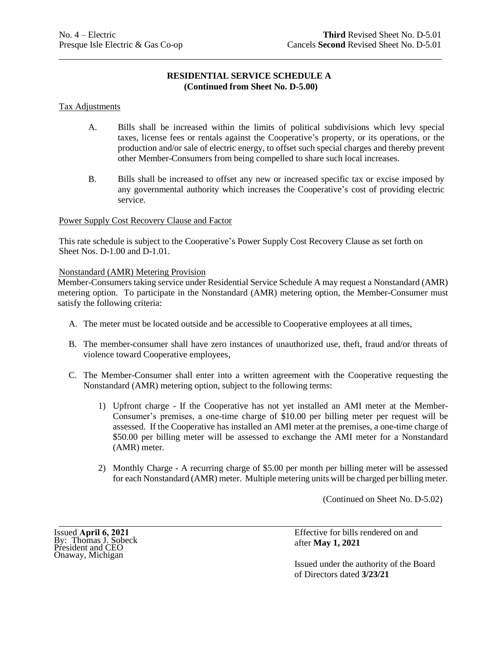# **RESIDENTIAL SERVICE SCHEDULE A (Continued from Sheet No. D-5.00)**

### Tax Adjustments

- A. Bills shall be increased within the limits of political subdivisions which levy special taxes, license fees or rentals against the Cooperative's property, or its operations, or the production and/or sale of electric energy, to offset such special charges and thereby prevent other Member-Consumers from being compelled to share such local increases.
- B. Bills shall be increased to offset any new or increased specific tax or excise imposed by any governmental authority which increases the Cooperative's cost of providing electric service.

### Power Supply Cost Recovery Clause and Factor

This rate schedule is subject to the Cooperative's Power Supply Cost Recovery Clause as set forth on Sheet Nos. D-1.00 and D-1.01.

### Nonstandard (AMR) Metering Provision

Member-Consumers taking service under Residential Service Schedule A may request a Nonstandard (AMR) metering option. To participate in the Nonstandard (AMR) metering option, the Member-Consumer must satisfy the following criteria:

- A. The meter must be located outside and be accessible to Cooperative employees at all times,
- B. The member-consumer shall have zero instances of unauthorized use, theft, fraud and/or threats of violence toward Cooperative employees,
- C. The Member-Consumer shall enter into a written agreement with the Cooperative requesting the Nonstandard (AMR) metering option, subject to the following terms:
	- 1) Upfront charge If the Cooperative has not yet installed an AMI meter at the Member-Consumer's premises, a one-time charge of \$10.00 per billing meter per request will be assessed. If the Cooperative has installed an AMI meter at the premises, a one-time charge of \$50.00 per billing meter will be assessed to exchange the AMI meter for a Nonstandard (AMR) meter.
	- 2) Monthly Charge A recurring charge of \$5.00 per month per billing meter will be assessed for each Nonstandard (AMR) meter. Multiple metering units will be charged per billing meter.

(Continued on Sheet No. D-5.02)

Effective for bills rendered on and after **May 1, 2021**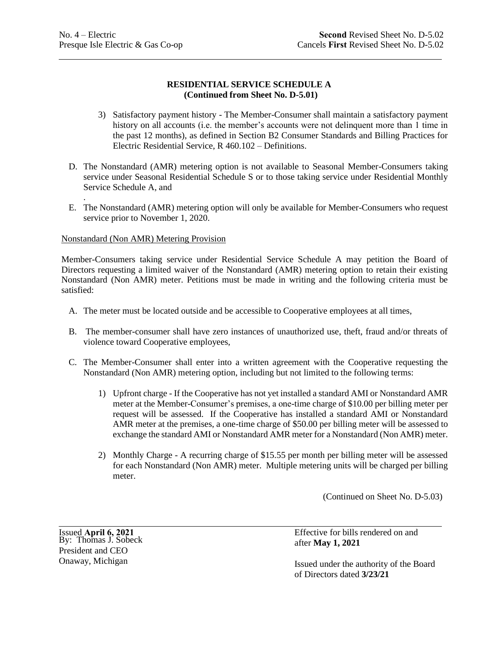# **RESIDENTIAL SERVICE SCHEDULE A (Continued from Sheet No. D-5.01)**

- 3) Satisfactory payment history The Member-Consumer shall maintain a satisfactory payment history on all accounts (i.e. the member's accounts were not delinquent more than 1 time in the past 12 months), as defined in Section B2 Consumer Standards and Billing Practices for Electric Residential Service, R 460.102 – Definitions.
- D. The Nonstandard (AMR) metering option is not available to Seasonal Member-Consumers taking service under Seasonal Residential Schedule S or to those taking service under Residential Monthly Service Schedule A, and
- . E. The Nonstandard (AMR) metering option will only be available for Member-Consumers who request service prior to November 1, 2020.

## Nonstandard (Non AMR) Metering Provision

Member-Consumers taking service under Residential Service Schedule A may petition the Board of Directors requesting a limited waiver of the Nonstandard (AMR) metering option to retain their existing Nonstandard (Non AMR) meter. Petitions must be made in writing and the following criteria must be satisfied:

- A. The meter must be located outside and be accessible to Cooperative employees at all times,
- B. The member-consumer shall have zero instances of unauthorized use, theft, fraud and/or threats of violence toward Cooperative employees,
- C. The Member-Consumer shall enter into a written agreement with the Cooperative requesting the Nonstandard (Non AMR) metering option, including but not limited to the following terms:
	- 1) Upfront charge If the Cooperative has not yet installed a standard AMI or Nonstandard AMR meter at the Member-Consumer's premises, a one-time charge of \$10.00 per billing meter per request will be assessed. If the Cooperative has installed a standard AMI or Nonstandard AMR meter at the premises, a one-time charge of \$50.00 per billing meter will be assessed to exchange the standard AMI or Nonstandard AMR meter for a Nonstandard (Non AMR) meter.
	- 2) Monthly Charge A recurring charge of \$15.55 per month per billing meter will be assessed for each Nonstandard (Non AMR) meter. Multiple metering units will be charged per billing meter.

(Continued on Sheet No. D-5.03)

Issued **April 6, 2021** By: Thomas J. Sobeck President and CEO Onaway, Michigan

Effective for bills rendered on and after **May 1, 2021**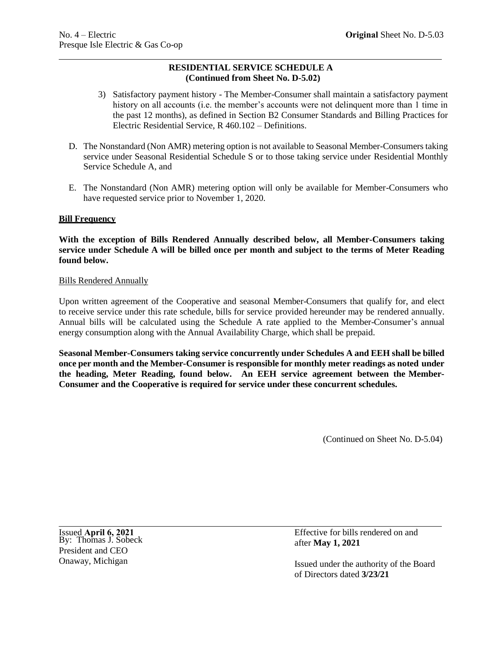# **RESIDENTIAL SERVICE SCHEDULE A (Continued from Sheet No. D-5.02)**

- 3) Satisfactory payment history The Member-Consumer shall maintain a satisfactory payment history on all accounts (i.e. the member's accounts were not delinquent more than 1 time in the past 12 months), as defined in Section B2 Consumer Standards and Billing Practices for Electric Residential Service, R 460.102 – Definitions.
- D. The Nonstandard (Non AMR) metering option is not available to Seasonal Member-Consumers taking service under Seasonal Residential Schedule S or to those taking service under Residential Monthly Service Schedule A, and
- E. The Nonstandard (Non AMR) metering option will only be available for Member-Consumers who have requested service prior to November 1, 2020.

## **Bill Frequency**

**With the exception of Bills Rendered Annually described below, all Member-Consumers taking service under Schedule A will be billed once per month and subject to the terms of Meter Reading found below.**

## Bills Rendered Annually

Upon written agreement of the Cooperative and seasonal Member-Consumers that qualify for, and elect to receive service under this rate schedule, bills for service provided hereunder may be rendered annually. Annual bills will be calculated using the Schedule A rate applied to the Member-Consumer's annual energy consumption along with the Annual Availability Charge, which shall be prepaid.

**Seasonal Member-Consumers taking service concurrently under Schedules A and EEH shall be billed once per month and the Member-Consumer is responsible for monthly meter readings as noted under the heading, Meter Reading, found below. An EEH service agreement between the Member-Consumer and the Cooperative is required for service under these concurrent schedules.**

(Continued on Sheet No. D-5.04)

Issued **April 6, 2021** By: Thomas J. Sobeck President and CEO Onaway, Michigan

Effective for bills rendered on and after **May 1, 2021**